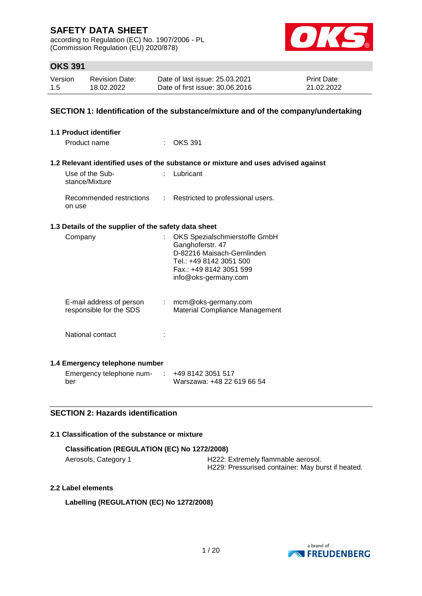according to Regulation (EC) No. 1907/2006 - PL (Commission Regulation (EU) 2020/878)



## **OKS 391**

| Version | <b>Revision Date:</b> | Date of last issue: 25.03.2021  | <b>Print Date:</b> |
|---------|-----------------------|---------------------------------|--------------------|
| 1.5     | 18.02.2022            | Date of first issue: 30.06.2016 | 21.02.2022         |

## **SECTION 1: Identification of the substance/mixture and of the company/undertaking**

| 1.1 Product identifier                               |                                                                                                                                                               |
|------------------------------------------------------|---------------------------------------------------------------------------------------------------------------------------------------------------------------|
| Product name                                         | <b>OKS 391</b>                                                                                                                                                |
|                                                      | 1.2 Relevant identified uses of the substance or mixture and uses advised against                                                                             |
| Use of the Sub-<br>stance/Mixture                    | : Lubricant                                                                                                                                                   |
| Recommended restrictions<br>on use                   | : Restricted to professional users.                                                                                                                           |
| 1.3 Details of the supplier of the safety data sheet |                                                                                                                                                               |
| Company                                              | OKS Spezialschmierstoffe GmbH<br>Ganghoferstr. 47<br>D-82216 Maisach-Gernlinden<br>Tel.: +49 8142 3051 500<br>Fax.: +49 8142 3051 599<br>info@oks-germany.com |
| E-mail address of person<br>responsible for the SDS  | $:$ mcm@oks-germany.com<br>Material Compliance Management                                                                                                     |
| National contact                                     |                                                                                                                                                               |
| 1.4 Emergency telephone number                       |                                                                                                                                                               |
| Emergency telephone num-                             | +49 8142 3051 517                                                                                                                                             |

## **SECTION 2: Hazards identification**

### **2.1 Classification of the substance or mixture**

| Classification (REGULATION (EC) No 1272/2008) |                                                   |  |  |  |
|-----------------------------------------------|---------------------------------------------------|--|--|--|
| Aerosols, Category 1                          | H222: Extremely flammable aerosol.                |  |  |  |
|                                               | H229: Pressurised container: May burst if heated. |  |  |  |

Warszawa: +48 22 619 66 54

#### **2.2 Label elements**

ber

**Labelling (REGULATION (EC) No 1272/2008)**

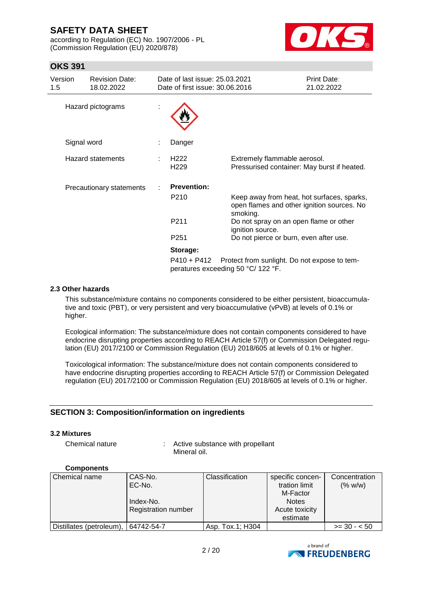according to Regulation (EC) No. 1907/2006 - PL (Commission Regulation (EU) 2020/878)



## **OKS 391**

| Version<br>1.5 | <b>Revision Date:</b><br>18.02.2022 | Date of last issue: 25.03.2021<br>Date of first issue: 30.06.2016 |                                                                                                      | <b>Print Date:</b><br>21.02.2022 |
|----------------|-------------------------------------|-------------------------------------------------------------------|------------------------------------------------------------------------------------------------------|----------------------------------|
|                | Hazard pictograms                   |                                                                   |                                                                                                      |                                  |
| Signal word    |                                     | Danger                                                            |                                                                                                      |                                  |
|                | <b>Hazard statements</b>            | H <sub>222</sub><br>H <sub>229</sub>                              | Extremely flammable aerosol.<br>Pressurised container: May burst if heated.                          |                                  |
|                | Precautionary statements            | <b>Prevention:</b>                                                |                                                                                                      |                                  |
|                |                                     | P <sub>210</sub>                                                  | Keep away from heat, hot surfaces, sparks,<br>open flames and other ignition sources. No<br>smoking. |                                  |
|                |                                     | P <sub>211</sub>                                                  | Do not spray on an open flame or other<br>ignition source.                                           |                                  |
|                |                                     | P <sub>251</sub>                                                  | Do not pierce or burn, even after use.                                                               |                                  |
|                |                                     | Storage:                                                          |                                                                                                      |                                  |
|                |                                     | P410 + P412                                                       | Protect from sunlight. Do not expose to tem-<br>peratures exceeding 50 °C/ 122 °F.                   |                                  |

## **2.3 Other hazards**

This substance/mixture contains no components considered to be either persistent, bioaccumulative and toxic (PBT), or very persistent and very bioaccumulative (vPvB) at levels of 0.1% or higher.

Ecological information: The substance/mixture does not contain components considered to have endocrine disrupting properties according to REACH Article 57(f) or Commission Delegated regulation (EU) 2017/2100 or Commission Regulation (EU) 2018/605 at levels of 0.1% or higher.

Toxicological information: The substance/mixture does not contain components considered to have endocrine disrupting properties according to REACH Article 57(f) or Commission Delegated regulation (EU) 2017/2100 or Commission Regulation (EU) 2018/605 at levels of 0.1% or higher.

## **SECTION 3: Composition/information on ingredients**

#### **3.2 Mixtures**

Chemical nature : Active substance with propellant Mineral oil.

## **Components**

| Chemical name            | CAS-No.             | <b>Classification</b> | specific concen- | Concentration |
|--------------------------|---------------------|-----------------------|------------------|---------------|
|                          | EC-No.              |                       | tration limit    | (% w/w)       |
|                          |                     |                       | M-Factor         |               |
|                          | Index-No.           |                       | <b>Notes</b>     |               |
|                          | Registration number |                       | Acute toxicity   |               |
|                          |                     |                       | estimate         |               |
| Distillates (petroleum), | 64742-54-7          | Asp. Tox.1; H304      |                  | $>= 30 - 50$  |

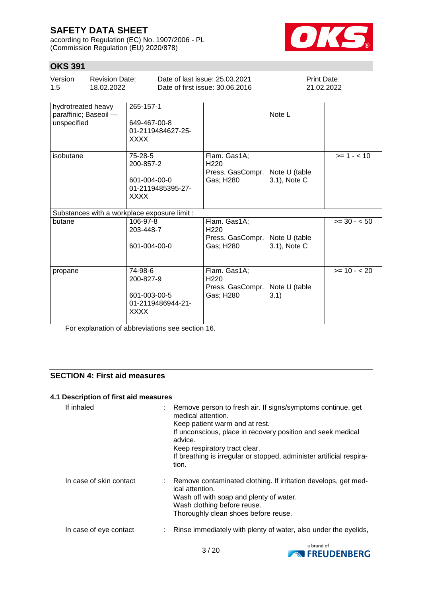according to Regulation (EC) No. 1907/2006 - PL (Commission Regulation (EU) 2020/878)



## **OKS 391**

| UI VU I                                                    |                                              |                                                                          |                                                                   |                                                                   |                               |              |
|------------------------------------------------------------|----------------------------------------------|--------------------------------------------------------------------------|-------------------------------------------------------------------|-------------------------------------------------------------------|-------------------------------|--------------|
| Version<br>1.5                                             | <b>Revision Date:</b><br>18.02.2022          |                                                                          | Date of last issue: 25.03.2021<br>Date of first issue: 30.06.2016 |                                                                   | Print Date:<br>21.02.2022     |              |
| hydrotreated heavy<br>paraffinic; Baseoil -<br>unspecified |                                              | 265-157-1<br>649-467-00-8<br>01-2119484627-25-<br><b>XXXX</b>            |                                                                   |                                                                   | Note L                        |              |
| isobutane                                                  |                                              | 75-28-5<br>200-857-2<br>601-004-00-0<br>01-2119485395-27-<br><b>XXXX</b> |                                                                   | Flam. Gas1A;<br>H <sub>220</sub><br>Press. GasCompr.<br>Gas; H280 | Note U (table<br>3.1), Note C | $>= 1 - 10$  |
|                                                            | Substances with a workplace exposure limit : |                                                                          |                                                                   |                                                                   |                               |              |
| butane                                                     |                                              | 106-97-8<br>203-448-7<br>601-004-00-0                                    |                                                                   | Flam. Gas1A;<br>H <sub>220</sub><br>Press. GasCompr.<br>Gas; H280 | Note U (table<br>3.1), Note C | $>= 30 - 50$ |
| propane                                                    |                                              | 74-98-6<br>200-827-9<br>601-003-00-5<br>01-2119486944-21-<br><b>XXXX</b> |                                                                   | Flam. Gas1A;<br>H <sub>220</sub><br>Press. GasCompr.<br>Gas; H280 | Note U (table<br>3.1)         | $>= 10 - 20$ |

For explanation of abbreviations see section 16.

## **SECTION 4: First aid measures**

## **4.1 Description of first aid measures**

| If inhaled              | : Remove person to fresh air. If signs/symptoms continue, get<br>medical attention.<br>Keep patient warm and at rest.<br>If unconscious, place in recovery position and seek medical<br>advice.<br>Keep respiratory tract clear.<br>If breathing is irregular or stopped, administer artificial respira-<br>tion. |
|-------------------------|-------------------------------------------------------------------------------------------------------------------------------------------------------------------------------------------------------------------------------------------------------------------------------------------------------------------|
| In case of skin contact | : Remove contaminated clothing. If irritation develops, get med-<br>ical attention.<br>Wash off with soap and plenty of water.<br>Wash clothing before reuse.<br>Thoroughly clean shoes before reuse.                                                                                                             |
| In case of eye contact  | : Rinse immediately with plenty of water, also under the eyelids,                                                                                                                                                                                                                                                 |

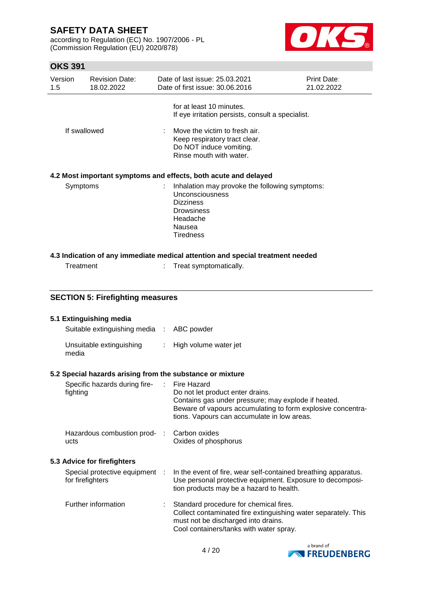according to Regulation (EC) No. 1907/2006 - PL (Commission Regulation (EU) 2020/878)



| Version<br>1.5 |                             | <b>Revision Date:</b><br>18.02.2022       |  | Date of last issue: 25.03.2021<br>Date of first issue: 30.06.2016                                                                                                                                                           | Print Date:<br>21.02.2022 |  |
|----------------|-----------------------------|-------------------------------------------|--|-----------------------------------------------------------------------------------------------------------------------------------------------------------------------------------------------------------------------------|---------------------------|--|
|                | If swallowed                |                                           |  | for at least 10 minutes.<br>If eye irritation persists, consult a specialist.<br>Move the victim to fresh air.<br>Keep respiratory tract clear.<br>Do NOT induce vomiting.<br>Rinse mouth with water.                       |                           |  |
|                |                             |                                           |  | 4.2 Most important symptoms and effects, both acute and delayed                                                                                                                                                             |                           |  |
|                | Symptoms                    |                                           |  | Inhalation may provoke the following symptoms:<br>Unconsciousness<br><b>Dizziness</b><br><b>Drowsiness</b><br>Headache<br>Nausea<br><b>Tiredness</b>                                                                        |                           |  |
|                |                             |                                           |  | 4.3 Indication of any immediate medical attention and special treatment needed                                                                                                                                              |                           |  |
|                | Treatment                   |                                           |  | Treat symptomatically.                                                                                                                                                                                                      |                           |  |
|                |                             |                                           |  |                                                                                                                                                                                                                             |                           |  |
|                |                             | <b>SECTION 5: Firefighting measures</b>   |  |                                                                                                                                                                                                                             |                           |  |
|                |                             | 5.1 Extinguishing media                   |  |                                                                                                                                                                                                                             |                           |  |
|                |                             | Suitable extinguishing media : ABC powder |  |                                                                                                                                                                                                                             |                           |  |
|                | media                       | Unsuitable extinguishing                  |  | High volume water jet                                                                                                                                                                                                       |                           |  |
|                |                             |                                           |  | 5.2 Special hazards arising from the substance or mixture                                                                                                                                                                   |                           |  |
|                | fighting                    | Specific hazards during fire-             |  | <b>Fire Hazard</b><br>Do not let product enter drains.<br>Contains gas under pressure; may explode if heated.<br>Beware of vapours accumulating to form explosive concentra-<br>tions. Vapours can accumulate in low areas. |                           |  |
|                | ucts                        | Hazardous combustion prod-                |  | Carbon oxides<br>Oxides of phosphorus                                                                                                                                                                                       |                           |  |
|                | 5.3 Advice for firefighters |                                           |  |                                                                                                                                                                                                                             |                           |  |
|                | for firefighters            | Special protective equipment              |  | In the event of fire, wear self-contained breathing apparatus.<br>Use personal protective equipment. Exposure to decomposi-<br>tion products may be a hazard to health.                                                     |                           |  |
|                |                             | Further information                       |  | Standard procedure for chemical fires.<br>Collect contaminated fire extinguishing water separately. This<br>must not be discharged into drains.<br>Cool containers/tanks with water spray.                                  |                           |  |

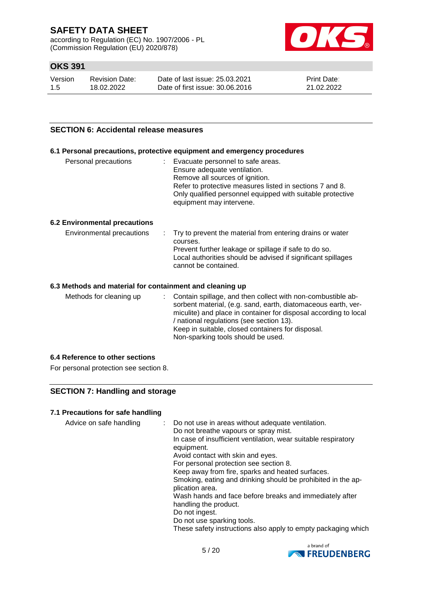according to Regulation (EC) No. 1907/2006 - PL (Commission Regulation (EU) 2020/878)



## **OKS 391**

| Version | <b>Revision Date:</b> | Date of last issue: 25.03.2021  | <b>Print Date:</b> |
|---------|-----------------------|---------------------------------|--------------------|
| -1.5    | 18.02.2022            | Date of first issue: 30.06.2016 | 21.02.2022         |

## **SECTION 6: Accidental release measures**

#### **6.1 Personal precautions, protective equipment and emergency procedures**

| Personal precautions |  | Evacuate personnel to safe areas.<br>Ensure adequate ventilation.<br>Remove all sources of ignition.<br>Refer to protective measures listed in sections 7 and 8.<br>Only qualified personnel equipped with suitable protective<br>equipment may intervene. |
|----------------------|--|------------------------------------------------------------------------------------------------------------------------------------------------------------------------------------------------------------------------------------------------------------|
|----------------------|--|------------------------------------------------------------------------------------------------------------------------------------------------------------------------------------------------------------------------------------------------------------|

## **6.2 Environmental precautions**

| Environmental precautions | . Try to prevent the material from entering drains or water<br>courses.<br>Prevent further leakage or spillage if safe to do so.<br>Local authorities should be advised if significant spillages<br>cannot be contained. |
|---------------------------|--------------------------------------------------------------------------------------------------------------------------------------------------------------------------------------------------------------------------|
|                           |                                                                                                                                                                                                                          |

#### **6.3 Methods and material for containment and cleaning up**

Methods for cleaning up : Contain spillage, and then collect with non-combustible absorbent material, (e.g. sand, earth, diatomaceous earth, vermiculite) and place in container for disposal according to local / national regulations (see section 13). Keep in suitable, closed containers for disposal. Non-sparking tools should be used.

## **6.4 Reference to other sections**

For personal protection see section 8.

## **SECTION 7: Handling and storage**

## **7.1 Precautions for safe handling**

| Advice on safe handling | : Do not use in areas without adequate ventilation.<br>Do not breathe vapours or spray mist.<br>In case of insufficient ventilation, wear suitable respiratory<br>equipment.<br>Avoid contact with skin and eyes.<br>For personal protection see section 8.<br>Keep away from fire, sparks and heated surfaces.<br>Smoking, eating and drinking should be prohibited in the ap-<br>plication area.<br>Wash hands and face before breaks and immediately after<br>handling the product.<br>Do not ingest.<br>Do not use sparking tools.<br>These safety instructions also apply to empty packaging which |
|-------------------------|---------------------------------------------------------------------------------------------------------------------------------------------------------------------------------------------------------------------------------------------------------------------------------------------------------------------------------------------------------------------------------------------------------------------------------------------------------------------------------------------------------------------------------------------------------------------------------------------------------|
|-------------------------|---------------------------------------------------------------------------------------------------------------------------------------------------------------------------------------------------------------------------------------------------------------------------------------------------------------------------------------------------------------------------------------------------------------------------------------------------------------------------------------------------------------------------------------------------------------------------------------------------------|

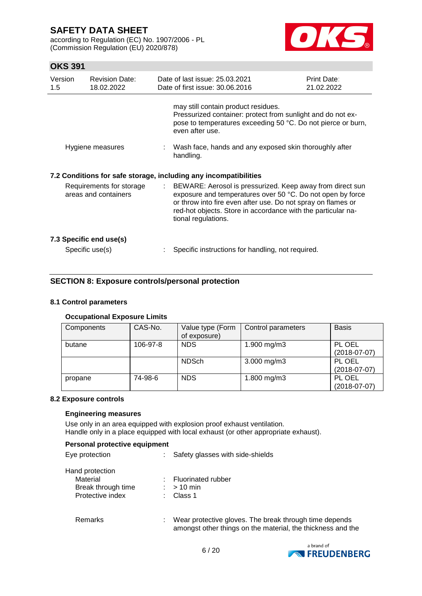according to Regulation (EC) No. 1907/2006 - PL (Commission Regulation (EU) 2020/878)



## **OKS 391**

| Version<br>1.5                                   | <b>Revision Date:</b><br>18.02.2022        |    | Date of last issue: 25.03.2021<br>Date of first issue: 30.06.2016                                                                                                                                                                                                              | Print Date:<br>21.02.2022 |
|--------------------------------------------------|--------------------------------------------|----|--------------------------------------------------------------------------------------------------------------------------------------------------------------------------------------------------------------------------------------------------------------------------------|---------------------------|
|                                                  |                                            |    | may still contain product residues.<br>Pressurized container: protect from sunlight and do not ex-<br>pose to temperatures exceeding 50 °C. Do not pierce or burn,<br>even after use.                                                                                          |                           |
| Hygiene measures                                 |                                            |    | : Wash face, hands and any exposed skin thoroughly after<br>handling.                                                                                                                                                                                                          |                           |
|                                                  |                                            |    | 7.2 Conditions for safe storage, including any incompatibilities                                                                                                                                                                                                               |                           |
| Requirements for storage<br>areas and containers |                                            | ÷. | BEWARE: Aerosol is pressurized. Keep away from direct sun<br>exposure and temperatures over 50 °C. Do not open by force<br>or throw into fire even after use. Do not spray on flames or<br>red-hot objects. Store in accordance with the particular na-<br>tional regulations. |                           |
|                                                  | 7.3 Specific end use(s)<br>Specific use(s) |    | Specific instructions for handling, not required.                                                                                                                                                                                                                              |                           |

## **SECTION 8: Exposure controls/personal protection**

## **8.1 Control parameters**

## **Occupational Exposure Limits**

| Components | CAS-No.  | Value type (Form<br>of exposure) | Control parameters | <b>Basis</b>             |
|------------|----------|----------------------------------|--------------------|--------------------------|
| butane     | 106-97-8 | <b>NDS</b>                       | 1.900 mg/m3        | PL OEL<br>$(2018-07-07)$ |
|            |          | <b>NDSch</b>                     | $3.000$ mg/m $3$   | PL OEL<br>$(2018-07-07)$ |
| propane    | 74-98-6  | <b>NDS</b>                       | 1.800 mg/m3        | PL OEL<br>$(2018-07-07)$ |

## **8.2 Exposure controls**

### **Engineering measures**

Use only in an area equipped with explosion proof exhaust ventilation. Handle only in a place equipped with local exhaust (or other appropriate exhaust).

#### **Personal protective equipment**

| Eye protection |  |
|----------------|--|
|                |  |

: Safety glasses with side-shields

| Hand protection    |                      |
|--------------------|----------------------|
| Material           | : Fluorinated rubber |
| Break through time | $:$ > 10 min         |
| Protective index   | : Class 1            |
|                    |                      |

## Remarks : Wear protective gloves. The break through time depends amongst other things on the material, the thickness and the

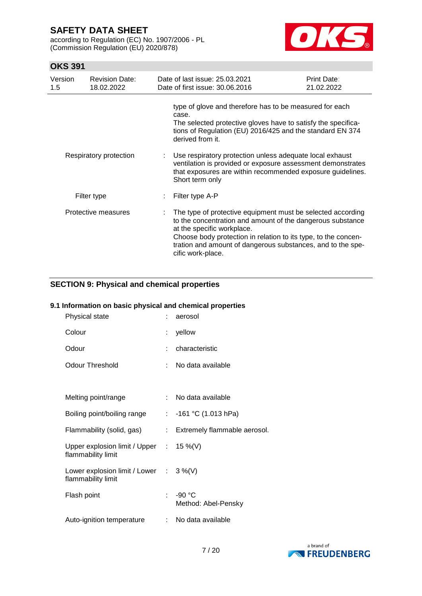according to Regulation (EC) No. 1907/2006 - PL (Commission Regulation (EU) 2020/878)



## **OKS 391**

| Version<br>$1.5^{\circ}$ | <b>Revision Date:</b><br>18.02.2022 | Date of last issue: 25.03.2021<br>Date of first issue: 30.06.2016                                                                                                                                                                                                                                             | <b>Print Date:</b><br>21.02.2022 |
|--------------------------|-------------------------------------|---------------------------------------------------------------------------------------------------------------------------------------------------------------------------------------------------------------------------------------------------------------------------------------------------------------|----------------------------------|
|                          |                                     | type of glove and therefore has to be measured for each<br>case.<br>The selected protective gloves have to satisfy the specifica-<br>tions of Regulation (EU) 2016/425 and the standard EN 374<br>derived from it.                                                                                            |                                  |
| Respiratory protection   |                                     | Use respiratory protection unless adequate local exhaust<br>ventilation is provided or exposure assessment demonstrates<br>that exposures are within recommended exposure guidelines.<br>Short term only                                                                                                      |                                  |
| Filter type              |                                     | Filter type A-P                                                                                                                                                                                                                                                                                               |                                  |
| Protective measures      |                                     | The type of protective equipment must be selected according<br>to the concentration and amount of the dangerous substance<br>at the specific workplace.<br>Choose body protection in relation to its type, to the concen-<br>tration and amount of dangerous substances, and to the spe-<br>cific work-place. |                                  |

## **SECTION 9: Physical and chemical properties**

## **9.1 Information on basic physical and chemical properties**

| Physical state                                                          |    | aerosol                         |
|-------------------------------------------------------------------------|----|---------------------------------|
| Colour                                                                  |    | yellow                          |
| Odour                                                                   |    | characteristic                  |
| <b>Odour Threshold</b>                                                  |    | No data available               |
|                                                                         |    |                                 |
| Melting point/range                                                     |    | : No data available             |
| Boiling point/boiling range                                             |    | : $-161$ °C (1.013 hPa)         |
| Flammability (solid, gas)                                               | t. | Extremely flammable aerosol.    |
| Upper explosion limit / Upper : $15\%$ (V)<br>flammability limit        |    |                                 |
| Lower explosion limit / Lower $\therefore$ 3 %(V)<br>flammability limit |    |                                 |
| Flash point                                                             | t. | $-90 °C$<br>Method: Abel-Pensky |
| Auto-ignition temperature                                               |    | : No data available             |

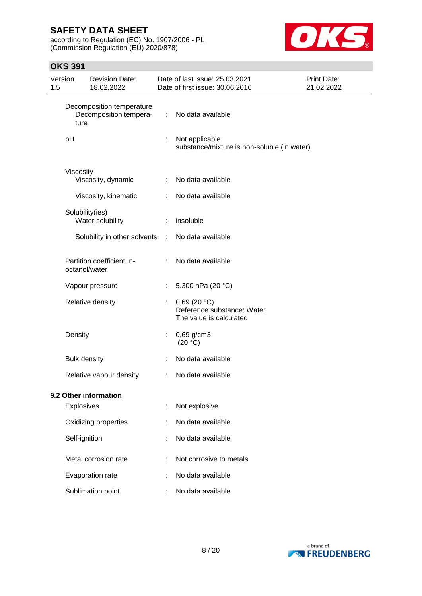according to Regulation (EC) No. 1907/2006 - PL (Commission Regulation (EU) 2020/878)



| 1.5 | Version   | <b>Revision Date:</b><br>18.02.2022                 |    | Date of last issue: 25.03.2021<br>Date of first issue: 30.06.2016    | Print Date:<br>21.02.2022 |
|-----|-----------|-----------------------------------------------------|----|----------------------------------------------------------------------|---------------------------|
|     | ture      | Decomposition temperature<br>Decomposition tempera- | ÷. | No data available                                                    |                           |
|     | pH        |                                                     |    | Not applicable<br>substance/mixture is non-soluble (in water)        |                           |
|     | Viscosity | Viscosity, dynamic                                  | ÷. | No data available                                                    |                           |
|     |           | Viscosity, kinematic                                |    | No data available                                                    |                           |
|     |           | Solubility(ies)<br>Water solubility                 | ÷  | insoluble                                                            |                           |
|     |           | Solubility in other solvents                        | ÷  | No data available                                                    |                           |
|     |           | Partition coefficient: n-<br>octanol/water          | ÷  | No data available                                                    |                           |
|     |           | Vapour pressure                                     |    | 5.300 hPa (20 °C)                                                    |                           |
|     |           | Relative density                                    |    | 0,69(20 °C)<br>Reference substance: Water<br>The value is calculated |                           |
|     | Density   |                                                     |    | $0,69$ g/cm3<br>(20 °C)                                              |                           |
|     |           | <b>Bulk density</b>                                 |    | No data available                                                    |                           |
|     |           | Relative vapour density                             | ÷  | No data available                                                    |                           |
|     |           | 9.2 Other information                               |    |                                                                      |                           |
|     |           | Explosives                                          |    | Not explosive                                                        |                           |
|     |           | Oxidizing properties                                |    | No data available                                                    |                           |
|     |           | Self-ignition                                       |    | No data available                                                    |                           |
|     |           | Metal corrosion rate                                |    | Not corrosive to metals                                              |                           |
|     |           | Evaporation rate                                    |    | No data available                                                    |                           |
|     |           | Sublimation point                                   |    | No data available                                                    |                           |

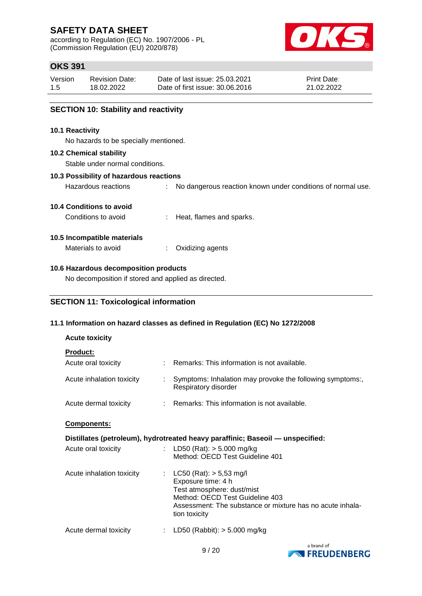according to Regulation (EC) No. 1907/2006 - PL (Commission Regulation (EU) 2020/878)



## **OKS 391**

| Version | <b>Revision Date:</b> | Date of last issue: 25.03.2021  | <b>Print Date:</b> |
|---------|-----------------------|---------------------------------|--------------------|
| 1.5     | 18.02.2022            | Date of first issue: 30.06.2016 | 21.02.2022         |

Hazardous reactions : No dangerous reaction known under conditions of normal use.

## **SECTION 10: Stability and reactivity**

#### **10.1 Reactivity**

No hazards to be specially mentioned.

#### **10.2 Chemical stability**

Stable under normal conditions.

#### **10.3 Possibility of hazardous reactions**

**10.4 Conditions to avoid**

Conditions to avoid : Heat, flames and sparks.

### **10.5 Incompatible materials**

Materials to avoid : Oxidizing agents

## **10.6 Hazardous decomposition products**

No decomposition if stored and applied as directed.

## **SECTION 11: Toxicological information**

## **11.1 Information on hazard classes as defined in Regulation (EC) No 1272/2008**

## **Acute toxicity**

## **Product:**

| rivuut.                   |   |                                                                                                                                                                                                    |
|---------------------------|---|----------------------------------------------------------------------------------------------------------------------------------------------------------------------------------------------------|
| Acute oral toxicity       |   | : Remarks: This information is not available.                                                                                                                                                      |
| Acute inhalation toxicity | ÷ | Symptoms: Inhalation may provoke the following symptoms:,<br>Respiratory disorder                                                                                                                  |
| Acute dermal toxicity     |   | : Remarks: This information is not available.                                                                                                                                                      |
| Components:               |   |                                                                                                                                                                                                    |
|                           |   | Distillates (petroleum), hydrotreated heavy paraffinic; Baseoil — unspecified:                                                                                                                     |
| Acute oral toxicity       |   | : LD50 (Rat): $>$ 5.000 mg/kg<br>Method: OECD Test Guideline 401                                                                                                                                   |
| Acute inhalation toxicity |   | : $LC50$ (Rat): $> 5,53$ mg/l<br>Exposure time: 4 h<br>Test atmosphere: dust/mist<br>Method: OECD Test Guideline 403<br>Assessment: The substance or mixture has no acute inhala-<br>tion toxicity |
|                           |   |                                                                                                                                                                                                    |

Acute dermal toxicity : LD50 (Rabbit): > 5.000 mg/kg

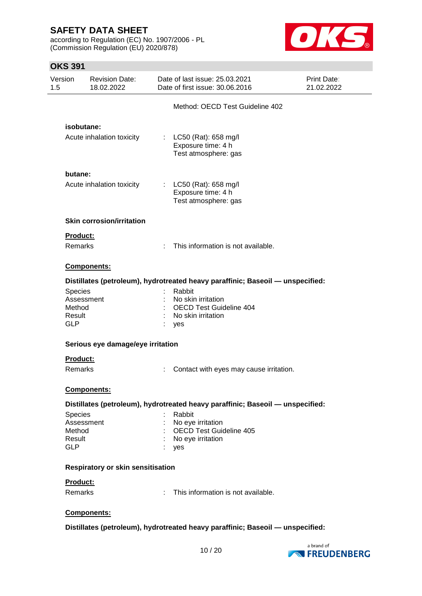according to Regulation (EC) No. 1907/2006 - PL (Commission Regulation (EU) 2020/878)



| Version              | <b>Revision Date:</b><br>18.02.2022 |    | Date of last issue: 25.03.2021<br>Date of first issue: 30.06.2016              | <b>Print Date:</b><br>21.02.2022 |
|----------------------|-------------------------------------|----|--------------------------------------------------------------------------------|----------------------------------|
|                      |                                     |    | Method: OECD Test Guideline 402                                                |                                  |
|                      | isobutane:                          |    |                                                                                |                                  |
|                      | Acute inhalation toxicity           |    | : $LC50$ (Rat): 658 mg/l<br>Exposure time: 4 h<br>Test atmosphere: gas         |                                  |
| butane:              |                                     |    |                                                                                |                                  |
|                      | Acute inhalation toxicity           |    | : $LC50$ (Rat): 658 mg/l<br>Exposure time: 4 h<br>Test atmosphere: gas         |                                  |
|                      | <b>Skin corrosion/irritation</b>    |    |                                                                                |                                  |
| <b>Product:</b>      |                                     |    |                                                                                |                                  |
| Remarks              |                                     | t. | This information is not available.                                             |                                  |
|                      | Components:                         |    |                                                                                |                                  |
|                      |                                     |    | Distillates (petroleum), hydrotreated heavy paraffinic; Baseoil — unspecified: |                                  |
| <b>Species</b>       |                                     |    | Rabbit                                                                         |                                  |
|                      | Assessment                          |    | No skin irritation                                                             |                                  |
| Method               |                                     |    | OECD Test Guideline 404                                                        |                                  |
| Result<br><b>GLP</b> |                                     |    | No skin irritation<br>: yes                                                    |                                  |
|                      | Serious eye damage/eye irritation   |    |                                                                                |                                  |
| <b>Product:</b>      |                                     |    |                                                                                |                                  |
| Remarks              |                                     |    | Contact with eyes may cause irritation.                                        |                                  |
|                      | Components:                         |    |                                                                                |                                  |
|                      |                                     |    | Distillates (petroleum), hydrotreated heavy paraffinic; Baseoil - unspecified: |                                  |
| <b>Species</b>       |                                     |    | Rabbit                                                                         |                                  |
|                      | Assessment                          |    | No eye irritation                                                              |                                  |
| Method               |                                     |    | <b>OECD Test Guideline 405</b>                                                 |                                  |
| Result               |                                     |    | : No eye irritation                                                            |                                  |
| <b>GLP</b>           |                                     |    | : yes                                                                          |                                  |
|                      | Respiratory or skin sensitisation   |    |                                                                                |                                  |
| Product:             |                                     |    |                                                                                |                                  |
| Remarks              |                                     | ÷  | This information is not available.                                             |                                  |
|                      | Components:                         |    |                                                                                |                                  |
|                      |                                     |    | Distillates (petroleum), hydrotreated heavy paraffinic; Baseoil - unspecified: |                                  |
|                      |                                     |    |                                                                                |                                  |

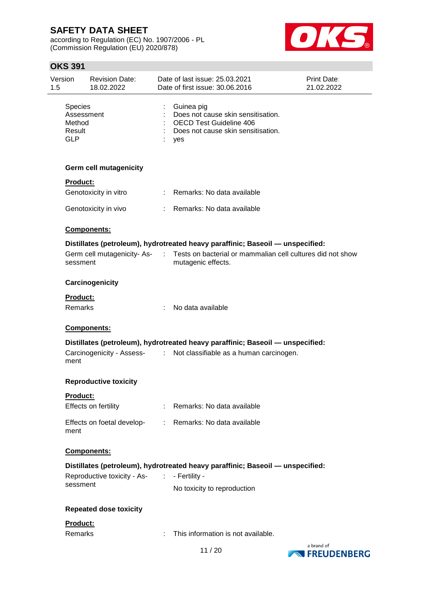according to Regulation (EC) No. 1907/2006 - PL (Commission Regulation (EU) 2020/878)



| Version<br>1.5                                   | <b>Revision Date:</b><br>18.02.2022         |                                                                                                                                                                                                                                                                                                                                                                                                                               | Date of last issue: 25.03.2021<br>Date of first issue: 30.06.2016                                                               | <b>Print Date:</b><br>21.02.2022  |
|--------------------------------------------------|---------------------------------------------|-------------------------------------------------------------------------------------------------------------------------------------------------------------------------------------------------------------------------------------------------------------------------------------------------------------------------------------------------------------------------------------------------------------------------------|---------------------------------------------------------------------------------------------------------------------------------|-----------------------------------|
| <b>Species</b><br>Method<br>Result<br><b>GLP</b> | Assessment                                  |                                                                                                                                                                                                                                                                                                                                                                                                                               | Guinea pig<br>Does not cause skin sensitisation.<br><b>OECD Test Guideline 406</b><br>Does not cause skin sensitisation.<br>yes |                                   |
|                                                  | <b>Germ cell mutagenicity</b>               |                                                                                                                                                                                                                                                                                                                                                                                                                               |                                                                                                                                 |                                   |
| Product:                                         |                                             |                                                                                                                                                                                                                                                                                                                                                                                                                               |                                                                                                                                 |                                   |
|                                                  | Genotoxicity in vitro                       | $\mathcal{I}^{\mathcal{I}^{\mathcal{I}^{\mathcal{I}^{\mathcal{I}^{\mathcal{I}^{\mathcal{I}^{\mathcal{I}^{\mathcal{I}^{\mathcal{I}^{\mathcal{I}^{\mathcal{I}^{\mathcal{I}^{\mathcal{I}^{\mathcal{I}^{\mathcal{I}^{\mathcal{I}^{\mathcal{I}^{\mathcal{I}^{\mathcal{I}^{\mathcal{I}^{\mathcal{I}^{\mathcal{I}^{\mathcal{I}^{\mathcal{I}^{\mathcal{I}^{\mathcal{I}^{\mathcal{I}^{\mathcal{I}^{\mathcal{I}^{\mathcal{I}^{\mathcal$ | Remarks: No data available                                                                                                      |                                   |
|                                                  | Genotoxicity in vivo                        |                                                                                                                                                                                                                                                                                                                                                                                                                               | : Remarks: No data available                                                                                                    |                                   |
|                                                  | Components:                                 |                                                                                                                                                                                                                                                                                                                                                                                                                               |                                                                                                                                 |                                   |
|                                                  |                                             |                                                                                                                                                                                                                                                                                                                                                                                                                               | Distillates (petroleum), hydrotreated heavy paraffinic; Baseoil — unspecified:                                                  |                                   |
| sessment                                         | Germ cell mutagenicity- As-                 | $\sim 100$                                                                                                                                                                                                                                                                                                                                                                                                                    | Tests on bacterial or mammalian cell cultures did not show<br>mutagenic effects.                                                |                                   |
|                                                  | Carcinogenicity                             |                                                                                                                                                                                                                                                                                                                                                                                                                               |                                                                                                                                 |                                   |
| Product:<br><b>Remarks</b>                       |                                             |                                                                                                                                                                                                                                                                                                                                                                                                                               | No data available                                                                                                               |                                   |
|                                                  | Components:                                 |                                                                                                                                                                                                                                                                                                                                                                                                                               |                                                                                                                                 |                                   |
|                                                  |                                             |                                                                                                                                                                                                                                                                                                                                                                                                                               | Distillates (petroleum), hydrotreated heavy paraffinic; Baseoil — unspecified:                                                  |                                   |
| ment                                             |                                             |                                                                                                                                                                                                                                                                                                                                                                                                                               | Carcinogenicity - Assess- : Not classifiable as a human carcinogen.                                                             |                                   |
|                                                  | <b>Reproductive toxicity</b>                |                                                                                                                                                                                                                                                                                                                                                                                                                               |                                                                                                                                 |                                   |
| Product:                                         |                                             |                                                                                                                                                                                                                                                                                                                                                                                                                               |                                                                                                                                 |                                   |
|                                                  | Effects on fertility                        |                                                                                                                                                                                                                                                                                                                                                                                                                               | : Remarks: No data available                                                                                                    |                                   |
| ment                                             | Effects on foetal develop-                  |                                                                                                                                                                                                                                                                                                                                                                                                                               | : Remarks: No data available                                                                                                    |                                   |
|                                                  | <b>Components:</b>                          |                                                                                                                                                                                                                                                                                                                                                                                                                               |                                                                                                                                 |                                   |
|                                                  |                                             |                                                                                                                                                                                                                                                                                                                                                                                                                               | Distillates (petroleum), hydrotreated heavy paraffinic; Baseoil — unspecified:                                                  |                                   |
|                                                  | Reproductive toxicity - As- : - Fertility - |                                                                                                                                                                                                                                                                                                                                                                                                                               |                                                                                                                                 |                                   |
| sessment                                         |                                             |                                                                                                                                                                                                                                                                                                                                                                                                                               | No toxicity to reproduction                                                                                                     |                                   |
|                                                  | <b>Repeated dose toxicity</b>               |                                                                                                                                                                                                                                                                                                                                                                                                                               |                                                                                                                                 |                                   |
| Product:                                         |                                             |                                                                                                                                                                                                                                                                                                                                                                                                                               |                                                                                                                                 |                                   |
| Remarks                                          |                                             |                                                                                                                                                                                                                                                                                                                                                                                                                               | This information is not available.                                                                                              |                                   |
|                                                  |                                             |                                                                                                                                                                                                                                                                                                                                                                                                                               | 11/20                                                                                                                           | a brand of<br><b>NEREUDENBERG</b> |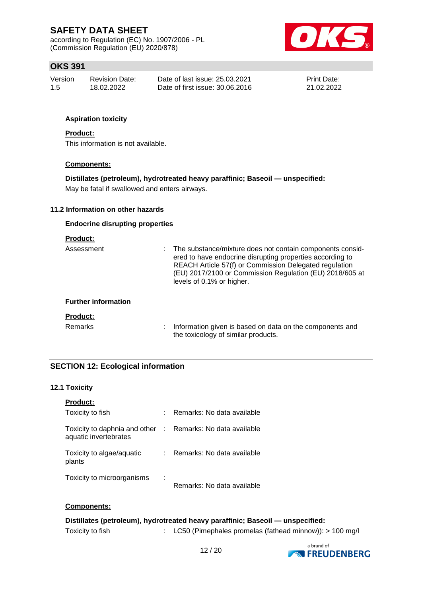according to Regulation (EC) No. 1907/2006 - PL (Commission Regulation (EU) 2020/878)



## **OKS 391**

| Version | <b>Revision Date:</b> | Date of last issue: 25.03.2021  | <b>Print Date:</b> |
|---------|-----------------------|---------------------------------|--------------------|
| 1.5     | 18.02.2022            | Date of first issue: 30.06.2016 | 21.02.2022         |

## **Aspiration toxicity**

#### **Product:**

This information is not available.

## **Components:**

## **Distillates (petroleum), hydrotreated heavy paraffinic; Baseoil — unspecified:**

May be fatal if swallowed and enters airways.

## **11.2 Information on other hazards**

#### **Endocrine disrupting properties**

| <b>Product:</b>            |                                                                                                                                                                                                                                                                           |  |
|----------------------------|---------------------------------------------------------------------------------------------------------------------------------------------------------------------------------------------------------------------------------------------------------------------------|--|
| Assessment                 | The substance/mixture does not contain components consid-<br>ered to have endocrine disrupting properties according to<br>REACH Article 57(f) or Commission Delegated regulation<br>(EU) 2017/2100 or Commission Regulation (EU) 2018/605 at<br>levels of 0.1% or higher. |  |
| <b>Further information</b> |                                                                                                                                                                                                                                                                           |  |
| <b>Product:</b>            |                                                                                                                                                                                                                                                                           |  |
| <b>Remarks</b>             | Information given is based on data on the components and<br>the toxicology of similar products.                                                                                                                                                                           |  |

## **SECTION 12: Ecological information**

## **12.1 Toxicity**

| <b>Product:</b>                                                                     |    |                            |
|-------------------------------------------------------------------------------------|----|----------------------------|
| Toxicity to fish                                                                    | t. | Remarks: No data available |
| Toxicity to daphnia and other : Remarks: No data available<br>aquatic invertebrates |    |                            |
| Toxicity to algae/aquatic<br>plants                                                 |    | Remarks: No data available |
| Toxicity to microorganisms                                                          | ÷  | Remarks: No data available |

#### **Components:**

# **Distillates (petroleum), hydrotreated heavy paraffinic; Baseoil — unspecified:**

Toxicity to fish : LC50 (Pimephales promelas (fathead minnow)): > 100 mg/l

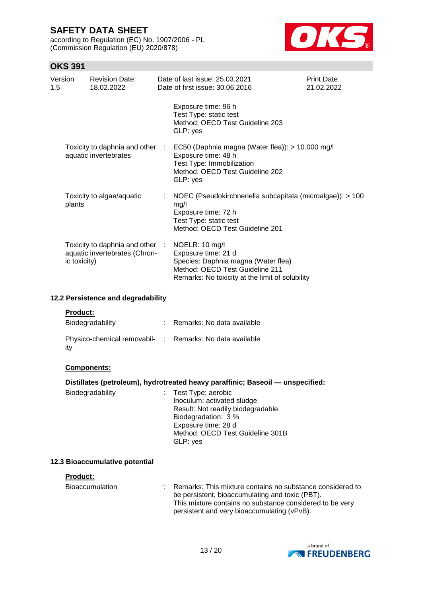according to Regulation (EC) No. 1907/2006 - PL (Commission Regulation (EU) 2020/878)



## **OKS 391**

| Version<br>1.5 | <b>Revision Date:</b><br>18.02.2022                              | Date of last issue: 25.03.2021<br>Date of first issue: 30,06,2016                                                                                                  | Print Date:<br>21.02.2022 |
|----------------|------------------------------------------------------------------|--------------------------------------------------------------------------------------------------------------------------------------------------------------------|---------------------------|
|                |                                                                  | Exposure time: 96 h<br>Test Type: static test<br>Method: OECD Test Guideline 203<br>GLP: yes                                                                       |                           |
|                | Toxicity to daphnia and other :<br>aquatic invertebrates         | EC50 (Daphnia magna (Water flea)): > 10.000 mg/l<br>Exposure time: 48 h<br>Test Type: Immobilization<br>Method: OECD Test Guideline 202<br>GLP: yes                |                           |
| plants         | Toxicity to algae/aquatic                                        | NOEC (Pseudokirchneriella subcapitata (microalgae)): > 100<br>mg/l<br>Exposure time: 72 h<br>Test Type: static test<br>Method: OECD Test Guideline 201             |                           |
| ic toxicity)   | Toxicity to daphnia and other :<br>aquatic invertebrates (Chron- | NOELR: 10 mg/l<br>Exposure time: 21 d<br>Species: Daphnia magna (Water flea)<br>Method: OECD Test Guideline 211<br>Remarks: No toxicity at the limit of solubility |                           |

#### **12.2 Persistence and degradability**

#### **Product:**

| Biodegradability                                                | Remarks: No data available |
|-----------------------------------------------------------------|----------------------------|
| Physico-chemical removabil- : Remarks: No data available<br>ity |                            |

## **Components:**

## **Distillates (petroleum), hydrotreated heavy paraffinic; Baseoil — unspecified:**

| Biodegradability |  | : Test Type: aerobic<br>Inoculum: activated sludge<br>Result: Not readily biodegradable.<br>Biodegradation: 3 %<br>Exposure time: 28 d<br>Method: OECD Test Guideline 301B<br>GLP: yes |
|------------------|--|----------------------------------------------------------------------------------------------------------------------------------------------------------------------------------------|
|------------------|--|----------------------------------------------------------------------------------------------------------------------------------------------------------------------------------------|

## **12.3 Bioaccumulative potential**

#### **Product:**

| Bioaccumulation | Remarks: This mixture contains no substance considered to<br>be persistent, bioaccumulating and toxic (PBT). |
|-----------------|--------------------------------------------------------------------------------------------------------------|
|                 | This mixture contains no substance considered to be very<br>persistent and very bioaccumulating (vPvB).      |

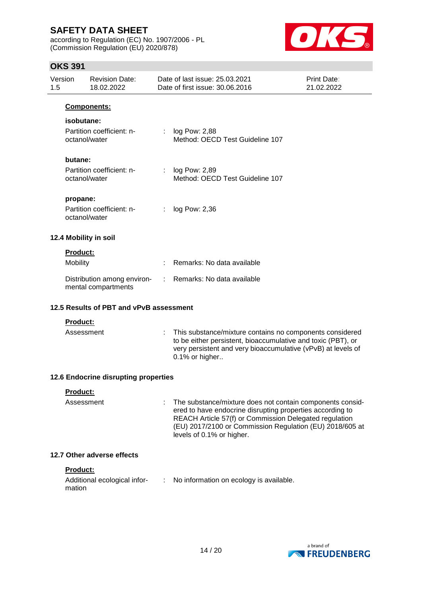according to Regulation (EC) No. 1907/2006 - PL (Commission Regulation (EU) 2020/878)



## **OKS 391**

| 1.5 | Version         | <b>Revision Date:</b><br>18.02.2022                |    | Date of last issue: 25.03.2021<br>Date of first issue: 30.06.2016                                                                                                                                                                                                         | <b>Print Date:</b><br>21.02.2022 |
|-----|-----------------|----------------------------------------------------|----|---------------------------------------------------------------------------------------------------------------------------------------------------------------------------------------------------------------------------------------------------------------------------|----------------------------------|
|     |                 | Components:                                        |    |                                                                                                                                                                                                                                                                           |                                  |
|     | isobutane:      |                                                    |    |                                                                                                                                                                                                                                                                           |                                  |
|     |                 | Partition coefficient: n-<br>octanol/water         | t. | log Pow: 2,88<br>Method: OECD Test Guideline 107                                                                                                                                                                                                                          |                                  |
|     | butane:         |                                                    |    |                                                                                                                                                                                                                                                                           |                                  |
|     |                 | Partition coefficient: n-<br>octanol/water         |    | log Pow: 2,89<br>Method: OECD Test Guideline 107                                                                                                                                                                                                                          |                                  |
|     | propane:        |                                                    |    |                                                                                                                                                                                                                                                                           |                                  |
|     |                 | Partition coefficient: n-<br>octanol/water         |    | log Pow: 2,36                                                                                                                                                                                                                                                             |                                  |
|     |                 | 12.4 Mobility in soil                              |    |                                                                                                                                                                                                                                                                           |                                  |
|     | <b>Product:</b> |                                                    |    |                                                                                                                                                                                                                                                                           |                                  |
|     | Mobility        |                                                    |    | Remarks: No data available                                                                                                                                                                                                                                                |                                  |
|     |                 | Distribution among environ-<br>mental compartments |    | Remarks: No data available                                                                                                                                                                                                                                                |                                  |
|     |                 | 12.5 Results of PBT and vPvB assessment            |    |                                                                                                                                                                                                                                                                           |                                  |
|     | Product:        |                                                    |    |                                                                                                                                                                                                                                                                           |                                  |
|     | Assessment      |                                                    | ÷. | This substance/mixture contains no components considered<br>to be either persistent, bioaccumulative and toxic (PBT), or<br>very persistent and very bioaccumulative (vPvB) at levels of<br>0.1% or higher                                                                |                                  |
|     |                 | 12.6 Endocrine disrupting properties               |    |                                                                                                                                                                                                                                                                           |                                  |
|     | Product:        |                                                    |    |                                                                                                                                                                                                                                                                           |                                  |
|     | Assessment      |                                                    |    | The substance/mixture does not contain components consid-<br>ered to have endocrine disrupting properties according to<br>REACH Article 57(f) or Commission Delegated regulation<br>(EU) 2017/2100 or Commission Regulation (EU) 2018/605 at<br>levels of 0.1% or higher. |                                  |
|     |                 |                                                    |    |                                                                                                                                                                                                                                                                           |                                  |

## **12.7 Other adverse effects**

## **Product:**

| Additional ecological infor- | No information on ecology is available. |
|------------------------------|-----------------------------------------|
| mation                       |                                         |

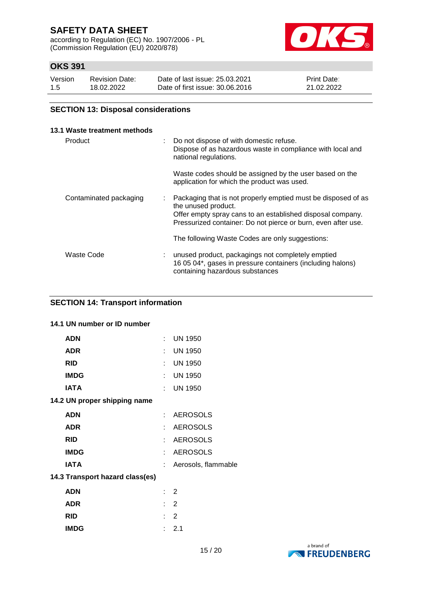according to Regulation (EC) No. 1907/2006 - PL (Commission Regulation (EU) 2020/878)



# **OKS 391**

| Version | <b>Revision Date:</b> | Date of last issue: 25.03.2021  | <b>Print Date:</b> |
|---------|-----------------------|---------------------------------|--------------------|
| 1.5     | 18.02.2022            | Date of first issue: 30.06.2016 | 21.02.2022         |

## **SECTION 13: Disposal considerations**

| 13.1 Waste treatment methods |    |                                                                                                                                                                                                                     |
|------------------------------|----|---------------------------------------------------------------------------------------------------------------------------------------------------------------------------------------------------------------------|
| Product                      | ÷. | Do not dispose of with domestic refuse.<br>Dispose of as hazardous waste in compliance with local and<br>national regulations.                                                                                      |
|                              |    | Waste codes should be assigned by the user based on the<br>application for which the product was used.                                                                                                              |
| Contaminated packaging       | ÷. | Packaging that is not properly emptied must be disposed of as<br>the unused product.<br>Offer empty spray cans to an established disposal company.<br>Pressurized container: Do not pierce or burn, even after use. |
|                              |    | The following Waste Codes are only suggestions:                                                                                                                                                                     |
| Waste Code                   |    | unused product, packagings not completely emptied<br>16 05 04*, gases in pressure containers (including halons)<br>containing hazardous substances                                                                  |

## **SECTION 14: Transport information**

## **14.1 UN number or ID number**

| <b>ADN</b>                      | t. | <b>UN 1950</b>      |
|---------------------------------|----|---------------------|
| ADR                             |    | : UN 1950           |
| <b>RID</b>                      | ÷  | <b>UN 1950</b>      |
| <b>IMDG</b>                     |    | $:$ UN 1950         |
| IATA                            | t. | <b>UN 1950</b>      |
| 14.2 UN proper shipping name    |    |                     |
| ADN                             | t. | <b>AEROSOLS</b>     |
| ADR                             | t. | <b>AEROSOLS</b>     |
| <b>RID</b>                      | t. | <b>AEROSOLS</b>     |
| <b>IMDG</b>                     | t. | <b>AEROSOLS</b>     |
| IATA                            | t. | Aerosols, flammable |
| 14.3 Transport hazard class(es) |    |                     |
| <b>ADN</b>                      |    | $\therefore$ 2      |
| ADR                             | t. | 2                   |
| <b>RID</b>                      | t  | 2                   |
| <b>IMDG</b>                     | t. | 2.1                 |

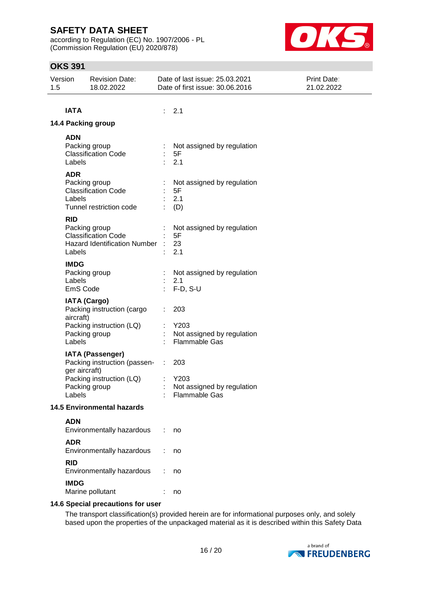according to Regulation (EC) No. 1907/2006 - PL (Commission Regulation (EU) 2020/878)



## **OKS 391**

| Version<br>1.5 | <b>Revision Date:</b><br>18.02.2022                                                                                             | Date of last issue: 25.03.2021<br><b>Print Date:</b><br>Date of first issue: 30.06.2016<br>21.02.2022 |  |
|----------------|---------------------------------------------------------------------------------------------------------------------------------|-------------------------------------------------------------------------------------------------------|--|
|                | <b>IATA</b>                                                                                                                     | : 2.1                                                                                                 |  |
|                | 14.4 Packing group                                                                                                              |                                                                                                       |  |
| <b>ADN</b>     | Packing group<br><b>Classification Code</b><br>Labels                                                                           | Not assigned by regulation<br>5F<br>÷<br>2.1                                                          |  |
| <b>ADR</b>     | Packing group<br><b>Classification Code</b><br>Labels<br>Tunnel restriction code                                                | Not assigned by regulation<br>5F<br>2.1<br>(D)                                                        |  |
| <b>RID</b>     | Packing group<br><b>Classification Code</b><br><b>Hazard Identification Number</b><br>Labels                                    | Not assigned by regulation<br>5F<br>23<br>2.1                                                         |  |
|                | <b>IMDG</b><br>Packing group<br>Labels<br>EmS Code                                                                              | Not assigned by regulation<br>2.1<br>$F-D, S-U$                                                       |  |
|                | <b>IATA (Cargo)</b><br>Packing instruction (cargo<br>aircraft)<br>Packing instruction (LQ)<br>Packing group<br>Labels           | 203<br>÷<br>Y203<br>Not assigned by regulation<br><b>Flammable Gas</b>                                |  |
|                | <b>IATA (Passenger)</b><br>Packing instruction (passen-<br>ger aircraft)<br>Packing instruction (LQ)<br>Packing group<br>Labels | 203<br>÷.<br>Y203<br>Not assigned by regulation<br>Flammable Gas                                      |  |
|                | <b>14.5 Environmental hazards</b>                                                                                               |                                                                                                       |  |
| <b>ADN</b>     | Environmentally hazardous                                                                                                       | no                                                                                                    |  |
| <b>ADR</b>     | Environmentally hazardous                                                                                                       | no                                                                                                    |  |
| <b>RID</b>     | Environmentally hazardous                                                                                                       | no                                                                                                    |  |
|                | <b>IMDG</b><br>Marine pollutant                                                                                                 | no                                                                                                    |  |
|                | 14.6 Special precautions for user                                                                                               |                                                                                                       |  |

The transport classification(s) provided herein are for informational purposes only, and solely based upon the properties of the unpackaged material as it is described within this Safety Data

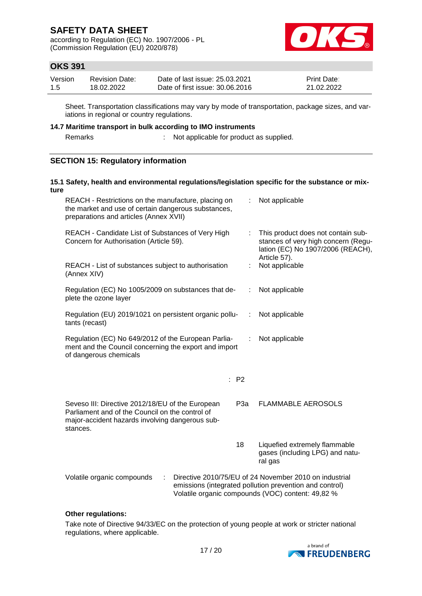according to Regulation (EC) No. 1907/2006 - PL (Commission Regulation (EU) 2020/878)



## **OKS 391**

| Version | <b>Revision Date:</b> | Date of last issue: 25.03.2021  | <b>Print Date:</b> |
|---------|-----------------------|---------------------------------|--------------------|
| 1.5     | 18.02.2022            | Date of first issue: 30.06.2016 | 21.02.2022         |

Sheet. Transportation classifications may vary by mode of transportation, package sizes, and variations in regional or country regulations.

#### **14.7 Maritime transport in bulk according to IMO instruments**

Remarks : Not applicable for product as supplied.

## **SECTION 15: Regulatory information**

## **15.1 Safety, health and environmental regulations/legislation specific for the substance or mixture** REACH - Restrictions on the manufacture, placing on the market and use of certain dangerous substances, preparations and articles (Annex XVII) : Not applicable REACH - Candidate List of Substances of Very High Concern for Authorisation (Article 59). : This product does not contain substances of very high concern (Regulation (EC) No 1907/2006 (REACH), Article 57). REACH - List of substances subject to authorisation (Annex XIV) : Not applicable Regulation (EC) No 1005/2009 on substances that deplete the ozone layer : Not applicable Regulation (EU) 2019/1021 on persistent organic pollutants (recast) : Not applicable Regulation (EC) No 649/2012 of the European Parliament and the Council concerning the export and import of dangerous chemicals : Not applicable : P2 Seveso III: Directive 2012/18/EU of the European Parliament and of the Council on the control of major-accident hazards involving dangerous substances. P3a FLAMMABLE AEROSOLS 18 Liquefied extremely flammable gases (including LPG) and natural gas

Volatile organic compounds : Directive 2010/75/EU of 24 November 2010 on industrial emissions (integrated pollution prevention and control) Volatile organic compounds (VOC) content: 49,82 %

## **Other regulations:**

Take note of Directive 94/33/EC on the protection of young people at work or stricter national regulations, where applicable.

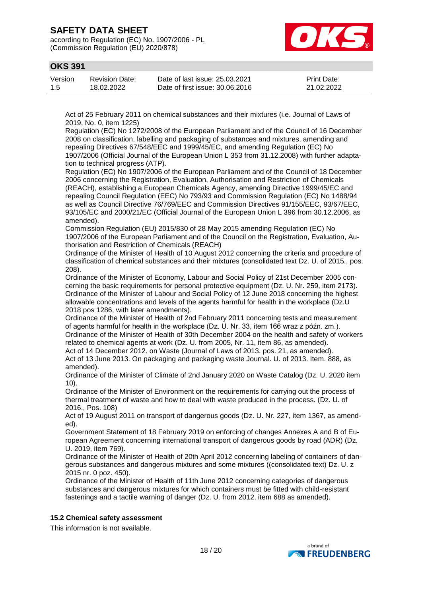according to Regulation (EC) No. 1907/2006 - PL (Commission Regulation (EU) 2020/878)



## **OKS 391**

| Version | Revision Date: | Date of last issue: 25.03.2021  | <b>Print Date:</b> |
|---------|----------------|---------------------------------|--------------------|
| 1.5     | 18.02.2022     | Date of first issue: 30.06.2016 | 21.02.2022         |

Act of 25 February 2011 on chemical substances and their mixtures (i.e. Journal of Laws of 2019, No. 0, item 1225)

Regulation (EC) No 1272/2008 of the European Parliament and of the Council of 16 December 2008 on classification, labelling and packaging of substances and mixtures, amending and repealing Directives 67/548/EEC and 1999/45/EC, and amending Regulation (EC) No 1907/2006 (Official Journal of the European Union L 353 from 31.12.2008) with further adaptation to technical progress (ATP).

Regulation (EC) No 1907/2006 of the European Parliament and of the Council of 18 December 2006 concerning the Registration, Evaluation, Authorisation and Restriction of Chemicals (REACH), establishing a European Chemicals Agency, amending Directive 1999/45/EC and repealing Council Regulation (EEC) No 793/93 and Commission Regulation (EC) No 1488/94 as well as Council Directive 76/769/EEC and Commission Directives 91/155/EEC, 93/67/EEC, 93/105/EC and 2000/21/EC (Official Journal of the European Union L 396 from 30.12.2006, as amended).

Commission Regulation (EU) 2015/830 of 28 May 2015 amending Regulation (EC) No 1907/2006 of the European Parliament and of the Council on the Registration, Evaluation, Authorisation and Restriction of Chemicals (REACH)

Ordinance of the Minister of Health of 10 August 2012 concerning the criteria and procedure of classification of chemical substances and their mixtures (consolidated text Dz. U. of 2015., pos. 208).

Ordinance of the Minister of Economy, Labour and Social Policy of 21st December 2005 concerning the basic requirements for personal protective equipment (Dz. U. Nr. 259, item 2173). Ordinance of the Minister of Labour and Social Policy of 12 June 2018 concerning the highest allowable concentrations and levels of the agents harmful for health in the workplace (Dz.U 2018 pos 1286, with later amendments).

Ordinance of the Minister of Health of 2nd February 2011 concerning tests and measurement of agents harmful for health in the workplace (Dz. U. Nr. 33, item 166 wraz z późn. zm.). Ordinance of the Minister of Health of 30th December 2004 on the health and safety of workers related to chemical agents at work (Dz. U. from 2005, Nr. 11, item 86, as amended).

Act of 14 December 2012. on Waste (Journal of Laws of 2013. pos. 21, as amended). Act of 13 June 2013. On packaging and packaging waste Journal. U. of 2013. Item. 888, as amended).

Ordinance of the Minister of Climate of 2nd January 2020 on Waste Catalog (Dz. U. 2020 item 10).

Ordinance of the Minister of Environment on the requirements for carrying out the process of thermal treatment of waste and how to deal with waste produced in the process. (Dz. U. of 2016., Pos. 108)

Act of 19 August 2011 on transport of dangerous goods (Dz. U. Nr. 227, item 1367, as amended).

Government Statement of 18 February 2019 on enforcing of changes Annexes A and B of European Agreement concerning international transport of dangerous goods by road (ADR) (Dz. U. 2019, item 769).

Ordinance of the Minister of Health of 20th April 2012 concerning labeling of containers of dangerous substances and dangerous mixtures and some mixtures ((consolidated text) Dz. U. z 2015 nr. 0 poz. 450).

Ordinance of the Minister of Health of 11th June 2012 concerning categories of dangerous substances and dangerous mixtures for which containers must be fitted with child-resistant fastenings and a tactile warning of danger (Dz. U. from 2012, item 688 as amended).

## **15.2 Chemical safety assessment**

This information is not available.

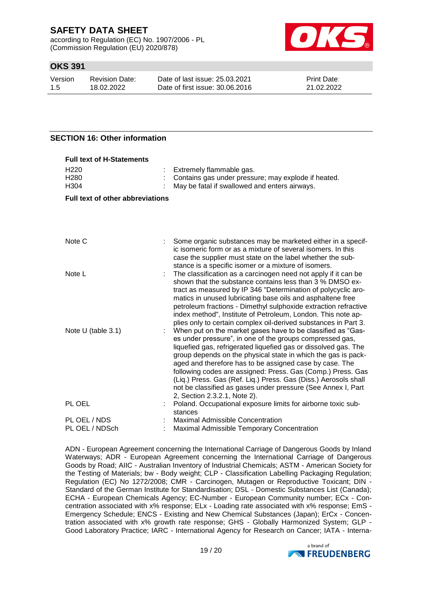according to Regulation (EC) No. 1907/2006 - PL (Commission Regulation (EU) 2020/878)



## **OKS 391**

| Version | Revision Date: | Date of last issue: 25.03.2021  | <b>Print Date:</b> |
|---------|----------------|---------------------------------|--------------------|
| -1.5    | 18.02.2022     | Date of first issue: 30.06.2016 | 21.02.2022         |

## **SECTION 16: Other information**

| <b>Full text of H-Statements</b>             |  |                                                                                                                                                                                                                                                                                                                                                                                                                                                                                                                                                          |  |
|----------------------------------------------|--|----------------------------------------------------------------------------------------------------------------------------------------------------------------------------------------------------------------------------------------------------------------------------------------------------------------------------------------------------------------------------------------------------------------------------------------------------------------------------------------------------------------------------------------------------------|--|
| H <sub>220</sub><br>H <sub>280</sub><br>H304 |  | Extremely flammable gas.<br>Contains gas under pressure; may explode if heated.<br>May be fatal if swallowed and enters airways.                                                                                                                                                                                                                                                                                                                                                                                                                         |  |
| <b>Full text of other abbreviations</b>      |  |                                                                                                                                                                                                                                                                                                                                                                                                                                                                                                                                                          |  |
|                                              |  |                                                                                                                                                                                                                                                                                                                                                                                                                                                                                                                                                          |  |
| Note C                                       |  | Some organic substances may be marketed either in a specif-<br>ic isomeric form or as a mixture of several isomers. In this<br>case the supplier must state on the label whether the sub-<br>stance is a specific isomer or a mixture of isomers.                                                                                                                                                                                                                                                                                                        |  |
| Note L                                       |  | The classification as a carcinogen need not apply if it can be<br>shown that the substance contains less than 3 % DMSO ex-<br>tract as measured by IP 346 "Determination of polycyclic aro-<br>matics in unused lubricating base oils and asphaltene free<br>petroleum fractions - Dimethyl sulphoxide extraction refractive<br>index method", Institute of Petroleum, London. This note ap-<br>plies only to certain complex oil-derived substances in Part 3.                                                                                          |  |
| Note $U$ (table 3.1)                         |  | When put on the market gases have to be classified as "Gas-<br>es under pressure", in one of the groups compressed gas,<br>liquefied gas, refrigerated liquefied gas or dissolved gas. The<br>group depends on the physical state in which the gas is pack-<br>aged and therefore has to be assigned case by case. The<br>following codes are assigned: Press. Gas (Comp.) Press. Gas<br>(Liq.) Press. Gas (Ref. Liq.) Press. Gas (Diss.) Aerosols shall<br>not be classified as gases under pressure (See Annex I, Part<br>2, Section 2.3.2.1, Note 2). |  |
| PL OEL                                       |  | Poland. Occupational exposure limits for airborne toxic sub-<br>stances                                                                                                                                                                                                                                                                                                                                                                                                                                                                                  |  |
| PL OEL / NDS<br>PL OEL / NDSch               |  | Maximal Admissible Concentration<br>Maximal Admissible Temporary Concentration                                                                                                                                                                                                                                                                                                                                                                                                                                                                           |  |

ADN - European Agreement concerning the International Carriage of Dangerous Goods by Inland Waterways; ADR - European Agreement concerning the International Carriage of Dangerous Goods by Road; AIIC - Australian Inventory of Industrial Chemicals; ASTM - American Society for the Testing of Materials; bw - Body weight; CLP - Classification Labelling Packaging Regulation; Regulation (EC) No 1272/2008; CMR - Carcinogen, Mutagen or Reproductive Toxicant; DIN - Standard of the German Institute for Standardisation; DSL - Domestic Substances List (Canada); ECHA - European Chemicals Agency; EC-Number - European Community number; ECx - Concentration associated with x% response; ELx - Loading rate associated with x% response; EmS - Emergency Schedule; ENCS - Existing and New Chemical Substances (Japan); ErCx - Concentration associated with x% growth rate response; GHS - Globally Harmonized System; GLP - Good Laboratory Practice; IARC - International Agency for Research on Cancer; IATA - Interna-